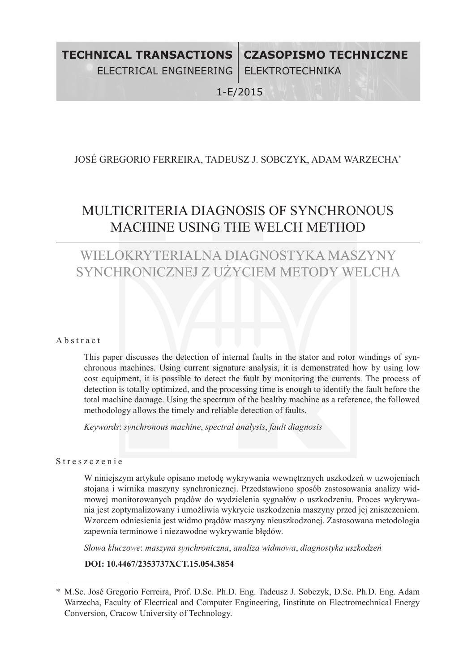1-E/2015

# José Gregorio FERREIRA, Tadeusz J. SOBCZYK, Adam WAR ZECHA\*

# MULTICRITERIA DIAGNOSIS OF SYNCHRONOUS MACHINE USING the Welch method

# WIELOKRYTERIALNA DIAGNOSTYKA MASZYNY SYNCHRONICZNEJ Z UŻYCIEM METODY WELCHA

#### A b s t r a c t

This paper discusses the detection of internal faults in the stator and rotor windings of synchronous machines. Using current signature analysis, it is demonstrated how by using low cost equipment, it is possible to detect the fault by monitoring the currents. The process of detection is totally optimized, and the processing time is enough to identify the fault before the total machine damage. Using the spectrum of the healthy machine as a reference, the followed methodology allows the timely and reliable detection of faults.

*Keywords*: *synchronous machine*, *spectral analysis*, *fault diagnosis*

## Streszczenie

W niniejszym artykule opisano metodę wykrywania wewnętrznych uszkodzeń w uzwojeniach stojana i wirnika maszyny synchronicznej. Przedstawiono sposób zastosowania analizy widmowej monitorowanych prądów do wydzielenia sygnałów o uszkodzeniu. Proces wykrywania jest zoptymalizowany i umożliwia wykrycie uszkodzenia maszyny przed jej zniszczeniem. Wzorcem odniesienia jest widmo prądów maszyny nieuszkodzonej. Zastosowana metodologia zapewnia terminowe i niezawodne wykrywanie błędów.

*Słowa kluczowe*: *maszyna synchroniczna*, *analiza widmowa*, *diagnostyka uszkodzeń* 

# **DOI: 10.4467/2353737XCT.15.054.3854**

<sup>\*</sup> M.Sc. José Gregorio Ferreira, Prof. D.Sc. Ph.D. Eng. Tadeusz J. Sobczyk, D.Sc. Ph.D. Eng. Adam Warzecha, Faculty of Electrical and Computer Engineering, Iinstitute on Electromechnical Energy Conversion, Cracow University of Technology.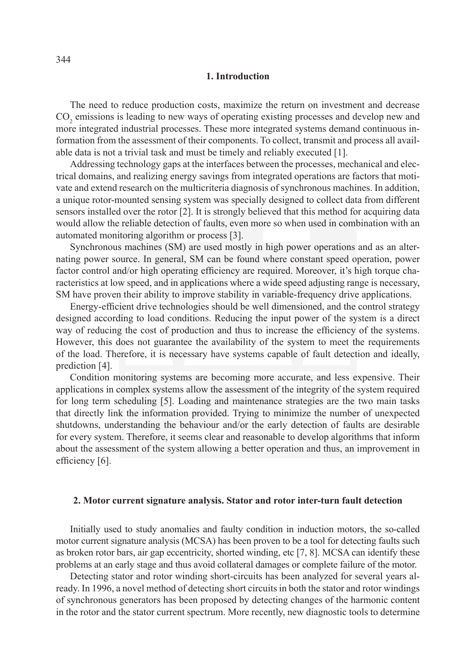### **1. Introduction**

The need to reduce production costs, maximize the return on investment and decrease  $CO<sub>2</sub>$  emissions is leading to new ways of operating existing processes and develop new and more integrated industrial processes. These more integrated systems demand continuous information from the assessment of their components. To collect, transmit and process all available data is not a trivial task and must be timely and reliably executed [1].

Addressing technology gaps at the interfaces between the processes, mechanical and electrical domains, and realizing energy savings from integrated operations are factors that motivate and extend research on the multicriteria diagnosis of synchronous machines. In addition, a unique rotor-mounted sensing system was specially designed to collect data from different sensors installed over the rotor [2]. It is strongly believed that this method for acquiring data would allow the reliable detection of faults, even more so when used in combination with an automated monitoring algorithm or process [3].

Synchronous machines (SM) are used mostly in high power operations and as an alternating power source. In general, SM can be found where constant speed operation, power factor control and/or high operating efficiency are required. Moreover, it's high torque characteristics at low speed, and in applications where a wide speed adjusting range is necessary, SM have proven their ability to improve stability in variable-frequency drive applications.

Energy-efficient drive technologies should be well dimensioned, and the control strategy designed according to load conditions. Reducing the input power of the system is a direct way of reducing the cost of production and thus to increase the efficiency of the systems. However, this does not guarantee the availability of the system to meet the requirements of the load. Therefore, it is necessary have systems capable of fault detection and ideally, prediction [4].

Condition monitoring systems are becoming more accurate, and less expensive. Their applications in complex systems allow the assessment of the integrity of the system required for long term scheduling [5]. Loading and maintenance strategies are the two main tasks that directly link the information provided. Trying to minimize the number of unexpected shutdowns, understanding the behaviour and/or the early detection of faults are desirable for every system. Therefore, it seems clear and reasonable to develop algorithms that inform about the assessment of the system allowing a better operation and thus, an improvement in efficiency [6].

#### **2. Motor current signature analysis. Stator and rotor inter-turn fault detection**

Initially used to study anomalies and faulty condition in induction motors, the so-called motor current signature analysis (MCSA) has been proven to be a tool for detecting faults such as broken rotor bars, air gap eccentricity, shorted winding, etc [7, 8]. MCSA can identify these problems at an early stage and thus avoid collateral damages or complete failure of the motor.

Detecting stator and rotor winding short-circuits has been analyzed for several years already. In 1996, a novel method of detecting short circuits in both the stator and rotor windings of synchronous generators has been proposed by detecting changes of the harmonic content in the rotor and the stator current spectrum. More recently, new diagnostic tools to determine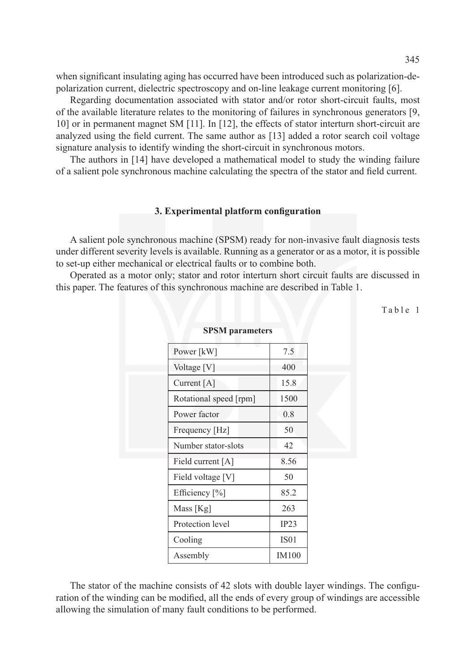when significant insulating aging has occurred have been introduced such as polarization-depolarization current, dielectric spectroscopy and on-line leakage current monitoring [6].

Regarding documentation associated with stator and/or rotor short-circuit faults, most of the available literature relates to the monitoring of failures in synchronous generators [9, 10] or in permanent magnet SM [11]. In [12], the effects of stator interturn short-circuit are analyzed using the field current. The same author as [13] added a rotor search coil voltage signature analysis to identify winding the short-circuit in synchronous motors.

The authors in [14] have developed a mathematical model to study the winding failure of a salient pole synchronous machine calculating the spectra of the stator and field current.

### **3. Experimental platform configuration**

A salient pole synchronous machine (SPSM) ready for non-invasive fault diagnosis tests under different severity levels is available. Running as a generator or as a motor, it is possible to set-up either mechanical or electrical faults or to combine both.

Operated as a motor only; stator and rotor interturn short circuit faults are discussed in this paper. The features of this synchronous machine are described in Table 1.

Table 1

| эт элт рагашски э      |              |
|------------------------|--------------|
| Power [kW]             | 7.5          |
| Voltage [V]            | 400          |
| Current [A]            | 15.8         |
| Rotational speed [rpm] | 1500         |
| Power factor           | 0.8          |
| Frequency [Hz]         | 50           |
| Number stator-slots    | 42           |
| Field current $[A]$    | 8.56         |
| Field voltage [V]      | 50           |
| Efficiency [%]         | 85.2         |
| Mass [Kg]              | 263          |
| Protection level       | IP23         |
| Cooling                | <b>IS01</b>  |
| Assembly               | <b>IM100</b> |
|                        |              |

**SPSM** parameter

The stator of the machine consists of 42 slots with double layer windings. The configuration of the winding can be modified, all the ends of every group of windings are accessible allowing the simulation of many fault conditions to be performed.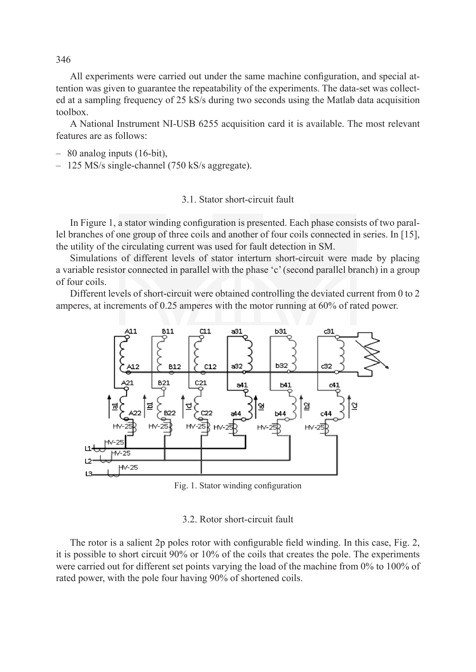All experiments were carried out under the same machine configuration, and special attention was given to guarantee the repeatability of the experiments. The data-set was collected at a sampling frequency of 25 kS/s during two seconds using the Matlab data acquisition toolbox.

A National Instrument NI-USB 6255 acquisition card it is available. The most relevant features are as follows:

- 80 analog inputs (16-bit),
- 125 MS/s single-channel (750 kS/s aggregate).

# 3.1. Stator short-circuit fault

In Figure 1, a stator winding configuration is presented. Each phase consists of two parallel branches of one group of three coils and another of four coils connected in series. In [15], the utility of the circulating current was used for fault detection in SM.

Simulations of different levels of stator interturn short-circuit were made by placing a variable resistor connected in parallel with the phase 'c' (second parallel branch) in a group of four coils.

Different levels of short-circuit were obtained controlling the deviated current from 0 to 2 amperes, at increments of 0.25 amperes with the motor running at 60% of rated power.



Fig. 1. Stator winding configuration

#### 3.2. Rotor short-circuit fault

The rotor is a salient 2p poles rotor with configurable field winding. In this case, Fig. 2, it is possible to short circuit 90% or 10% of the coils that creates the pole. The experiments were carried out for different set points varying the load of the machine from 0% to 100% of rated power, with the pole four having 90% of shortened coils.

346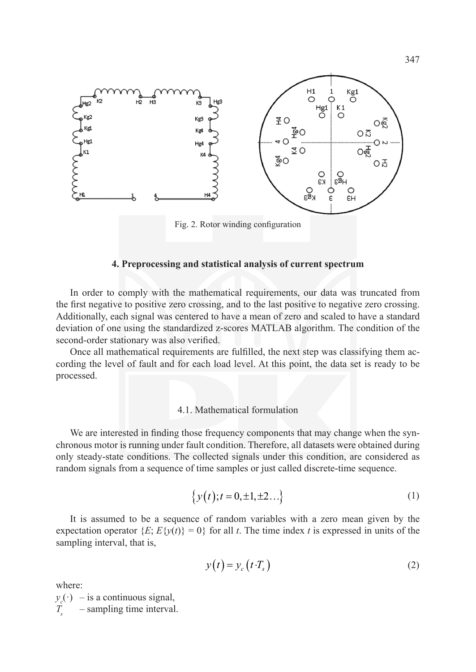

#### **4. Preprocessing and statistical analysis of current spectrum**

In order to comply with the mathematical requirements, our data was truncated from the first negative to positive zero crossing, and to the last positive to negative zero crossing. Additionally, each signal was centered to have a mean of zero and scaled to have a standard deviation of one using the standardized z-scores MATLAB algorithm. The condition of the second-order stationary was also verified.

Once all mathematical requirements are fulfilled, the next step was classifying them according the level of fault and for each load level. At this point, the data set is ready to be processed.

# 4.1. Mathematical formulation

We are interested in finding those frequency components that may change when the synchronous motor is running under fault condition. Therefore, all datasets were obtained during only steady-state conditions. The collected signals under this condition, are considered as random signals from a sequence of time samples or just called discrete-time sequence.

$$
\{y(t); t = 0, \pm 1, \pm 2...\}\tag{1}
$$

It is assumed to be a sequence of random variables with a zero mean given by the expectation operator  ${E: E{y(t)} = 0}$  for all *t*. The time index *t* is expressed in units of the sampling interval, that is,

$$
y(t) = y_c(t \cdot T_s) \tag{2}
$$

where:

 $y_c(\cdot)$  – is a continuous signal, - sampling time interval.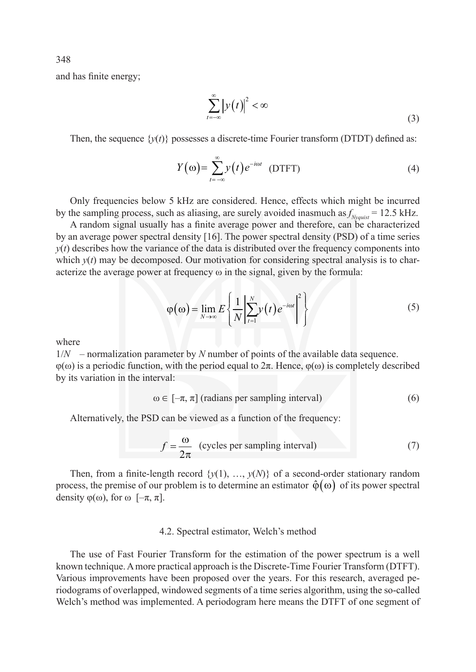and has finite energy;

$$
\sum_{t=-\infty}^{\infty} \left| y(t) \right|^2 < \infty \tag{3}
$$

Then, the sequence  $\{y(t)\}$  possesses a discrete-time Fourier transform (DTDT) defined as:

$$
Y(\omega) = \sum_{t=-\infty}^{\infty} y(t) e^{-i\omega t} \quad \text{(DTFT)}\tag{4}
$$

Only frequencies below 5 kHz are considered. Hence, effects which might be incurred by the sampling process, such as aliasing, are surely avoided inasmuch as  $f_{Nyquist} = 12.5 \text{ kHz}$ .

A random signal usually has a finite average power and therefore, can be characterized by an average power spectral density [16]. The power spectral density (PSD) of a time series *y*(*t*) describes how the variance of the data is distributed over the frequency components into which  $y(t)$  may be decomposed. Our motivation for considering spectral analysis is to characterize the average power at frequency ω in the signal, given by the formula:

$$
\varphi(\omega) = \lim_{N \to \infty} E \left\{ \frac{1}{N} \left| \sum_{t=1}^{N} y(t) e^{-i\omega t} \right|^2 \right\}
$$
\n(5)

where

 $1/N$  – normalization parameter by N number of points of the available data sequence.  $\varphi(\omega)$  is a periodic function, with the period equal to  $2\pi$ . Hence,  $\varphi(\omega)$  is completely described by its variation in the interval:

$$
\omega \in [-\pi, \pi] \text{ (radians per sampling interval)} \tag{6}
$$

Alternatively, the PSD can be viewed as a function of the frequency:

$$
f = \frac{\omega}{2\pi}
$$
 (cycles per sampling interval) (7)

Then, from a finite-length record  $\{y(1), ..., y(N)\}$  of a second-order stationary random process, the premise of our problem is to determine an estimator  $\hat{\phi}(\omega)$  of its power spectral density  $\varphi(\omega)$ , for  $\omega$  [ $-\pi$ ,  $\pi$ ].

#### 4.2. Spectral estimator, Welch's method

The use of Fast Fourier Transform for the estimation of the power spectrum is a well known technique. A more practical approach is the Discrete-Time Fourier Transform (DTFT). Various improvements have been proposed over the years. For this research, averaged periodograms of overlapped, windowed segments of a time series algorithm, using the so-called Welch's method was implemented. A periodogram here means the DTFT of one segment of

348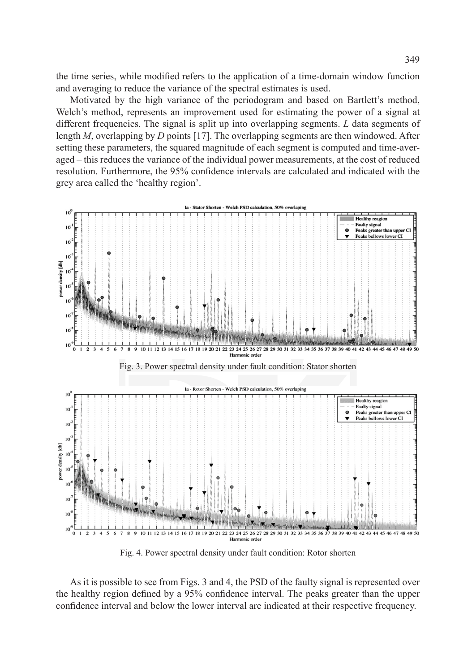the time series, while modified refers to the application of a time-domain window function and averaging to reduce the variance of the spectral estimates is used.

Motivated by the high variance of the periodogram and based on Bartlett's method, Welch's method, represents an improvement used for estimating the power of a signal at different frequencies. The signal is split up into overlapping segments. *L* data segments of length *M*, overlapping by *D* points [17]. The overlapping segments are then windowed. After setting these parameters, the squared magnitude of each segment is computed and time-averaged – this reduces the variance of the individual power measurements, at the cost of reduced resolution. Furthermore, the 95% confidence intervals are calculated and indicated with the grey area called the 'healthy region'.



Fig. 4. Power spectral density under fault condition: Rotor shorten

As it is possible to see from Figs. 3 and 4, the PSD of the faulty signal is represented over the healthy region defined by a 95% confidence interval. The peaks greater than the upper confidence interval and below the lower interval are indicated at their respective frequency.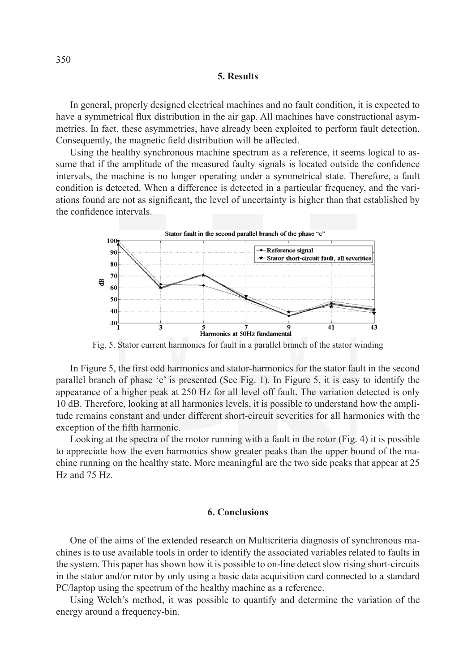### **5. Results**

In general, properly designed electrical machines and no fault condition, it is expected to have a symmetrical flux distribution in the air gap. All machines have constructional asymmetries. In fact, these asymmetries, have already been exploited to perform fault detection. Consequently, the magnetic field distribution will be affected.

Using the healthy synchronous machine spectrum as a reference, it seems logical to assume that if the amplitude of the measured faulty signals is located outside the confidence intervals, the machine is no longer operating under a symmetrical state. Therefore, a fault condition is detected. When a difference is detected in a particular frequency, and the variations found are not as significant, the level of uncertainty is higher than that established by the confidence intervals.



Fig. 5. Stator current harmonics for fault in a parallel branch of the stator winding

In Figure 5, the first odd harmonics and stator-harmonics for the stator fault in the second parallel branch of phase 'c' is presented (See Fig. 1). In Figure 5, it is easy to identify the appearance of a higher peak at 250 Hz for all level off fault. The variation detected is only 10 dB. Therefore, looking at all harmonics levels, it is possible to understand how the amplitude remains constant and under different short-circuit severities for all harmonics with the exception of the fifth harmonic.

Looking at the spectra of the motor running with a fault in the rotor (Fig. 4) it is possible to appreciate how the even harmonics show greater peaks than the upper bound of the machine running on the healthy state. More meaningful are the two side peaks that appear at 25 Hz and 75 Hz.

#### **6. Conclusions**

One of the aims of the extended research on Multicriteria diagnosis of synchronous machines is to use available tools in order to identify the associated variables related to faults in the system. This paper has shown how it is possible to on-line detect slow rising short-circuits in the stator and/or rotor by only using a basic data acquisition card connected to a standard PC/laptop using the spectrum of the healthy machine as a reference.

Using Welch's method, it was possible to quantify and determine the variation of the energy around a frequency-bin.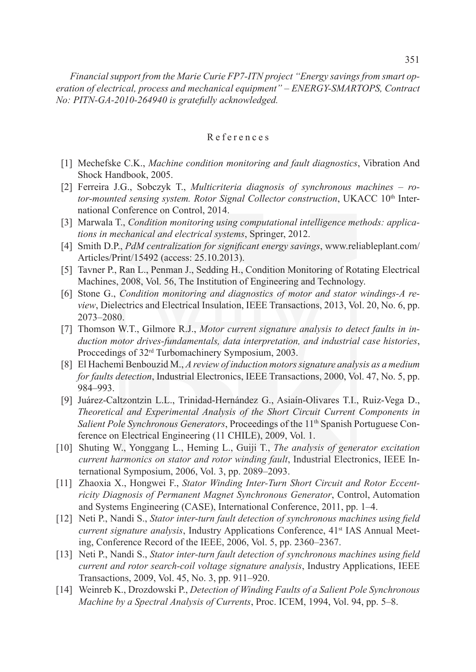# R eferences

- [1] Mechefske C.K., *Machine condition monitoring and fault diagnostics*, Vibration And Shock Handbook, 2005.
- [2] Ferreira J.G., Sobczyk T., *Multicriteria diagnosis of synchronous machines rotor-mounted sensing system. Rotor Signal Collector construction*, UKACC 10<sup>th</sup> International Conference on Control, 2014.
- [3] Marwala T., *Condition monitoring using computational intelligence methods: applications in mechanical and electrical systems*, Springer, 2012.
- [4] Smith D.P., *PdM centralization for significant energy savings*, www.reliableplant.com/ Articles/Print/15492 (access: 25.10.2013).
- [5] Tavner P., Ran L., Penman J., Sedding H., Condition Monitoring of Rotating Electrical Machines, 2008, Vol. 56, The Institution of Engineering and Technology.
- [6] Stone G., *Condition monitoring and diagnostics of motor and stator windings-A review*, Dielectrics and Electrical Insulation, IEEE Transactions, 2013, Vol. 20, No. 6, pp. 2073–2080.
- [7] Thomson W.T., Gilmore R.J., *Motor current signature analysis to detect faults in induction motor drives-fundamentals, data interpretation, and industrial case histories*, Proccedings of 32rd Turbomachinery Symposium, 2003.
- [8] El Hachemi Benbouzid M., *A review of induction motors signature analysis as a medium for faults detection*, Industrial Electronics, IEEE Transactions, 2000, Vol. 47, No. 5, pp. 984–993.
- [9] Juárez-Caltzontzin L.L., Trinidad-Hernández G., Asiaín-Olivares T.I., Ruiz-Vega D., *Theoretical and Experimental Analysis of the Short Circuit Current Components in Salient Pole Synchronous Generators*, Proceedings of the 11<sup>th</sup> Spanish Portuguese Conference on Electrical Engineering (11 CHILE), 2009, Vol. 1.
- [10] Shuting W., Yonggang L., Heming L., Guiji T., *The analysis of generator excitation current harmonics on stator and rotor winding fault*, Industrial Electronics, IEEE International Symposium, 2006, Vol. 3, pp. 2089–2093.
- [11] Zhaoxia X., Hongwei F., *Stator Winding Inter-Turn Short Circuit and Rotor Eccentricity Diagnosis of Permanent Magnet Synchronous Generator*, Control, Automation and Systems Engineering (CASE), International Conference, 2011, pp. 1–4.
- [12] Neti P., Nandi S., *Stator inter-turn fault detection of synchronous machines using field current signature analysis*, Industry Applications Conference, 41<sup>st</sup> IAS Annual Meeting, Conference Record of the IEEE, 2006, Vol. 5, pp. 2360–2367.
- [13] Neti P., Nandi S., *Stator inter-turn fault detection of synchronous machines using field current and rotor search-coil voltage signature analysis*, Industry Applications, IEEE Transactions, 2009, Vol. 45, No. 3, pp. 911–920.
- [14] Weinreb K., Drozdowski P., *Detection of Winding Faults of a Salient Pole Synchronous Machine by a Spectral Analysis of Currents*, Proc. ICEM, 1994, Vol. 94, pp. 5–8.